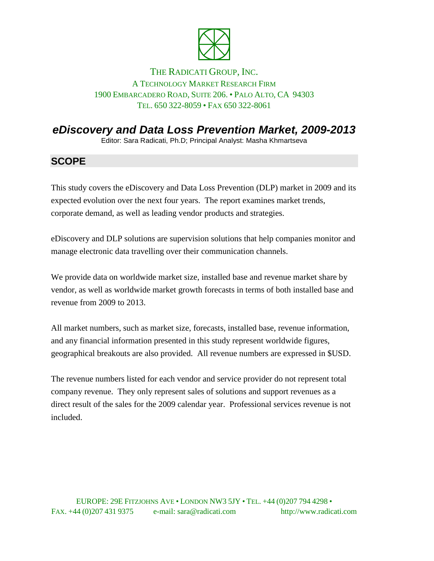

#### THE RADICATI GROUP, INC. A TECHNOLOGY MARKET RESEARCH FIRM 1900 EMBARCADERO ROAD, SUITE 206. • PALO ALTO, CA 94303 TEL. 650 322-8059 • FAX 650 322-8061

# *eDiscovery and Data Loss Prevention Market, 2009-2013*

Editor: Sara Radicati, Ph.D; Principal Analyst: Masha Khmartseva

## **SCOPE**

This study covers the eDiscovery and Data Loss Prevention (DLP) market in 2009 and its expected evolution over the next four years. The report examines market trends, corporate demand, as well as leading vendor products and strategies.

eDiscovery and DLP solutions are supervision solutions that help companies monitor and manage electronic data travelling over their communication channels.

We provide data on worldwide market size, installed base and revenue market share by vendor, as well as worldwide market growth forecasts in terms of both installed base and revenue from 2009 to 2013.

All market numbers, such as market size, forecasts, installed base, revenue information, and any financial information presented in this study represent worldwide figures, geographical breakouts are also provided. All revenue numbers are expressed in \$USD.

The revenue numbers listed for each vendor and service provider do not represent total company revenue. They only represent sales of solutions and support revenues as a direct result of the sales for the 2009 calendar year. Professional services revenue is not included.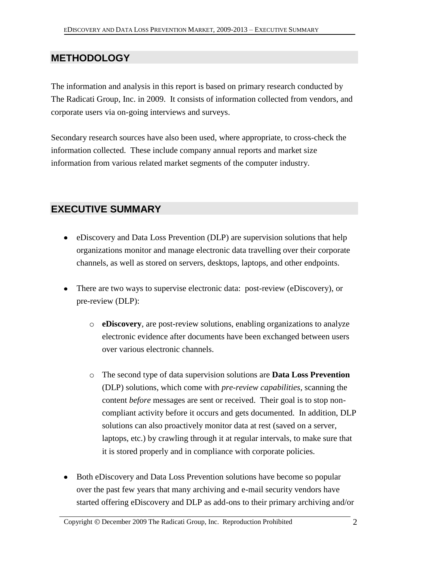## **METHODOLOGY**

The information and analysis in this report is based on primary research conducted by The Radicati Group, Inc. in 2009. It consists of information collected from vendors, and corporate users via on-going interviews and surveys.

Secondary research sources have also been used, where appropriate, to cross-check the information collected. These include company annual reports and market size information from various related market segments of the computer industry.

### **EXECUTIVE SUMMARY**

- eDiscovery and Data Loss Prevention (DLP) are supervision solutions that help organizations monitor and manage electronic data travelling over their corporate channels, as well as stored on servers, desktops, laptops, and other endpoints.
- There are two ways to supervise electronic data: post-review (eDiscovery), or pre-review (DLP):
	- o **eDiscovery**, are post-review solutions, enabling organizations to analyze electronic evidence after documents have been exchanged between users over various electronic channels.
	- o The second type of data supervision solutions are **Data Loss Prevention** (DLP) solutions, which come with *pre-review capabilities,* scanning the content *before* messages are sent or received. Their goal is to stop noncompliant activity before it occurs and gets documented. In addition, DLP solutions can also proactively monitor data at rest (saved on a server, laptops, etc.) by crawling through it at regular intervals, to make sure that it is stored properly and in compliance with corporate policies.
- Both eDiscovery and Data Loss Prevention solutions have become so popular over the past few years that many archiving and e-mail security vendors have started offering eDiscovery and DLP as add-ons to their primary archiving and/or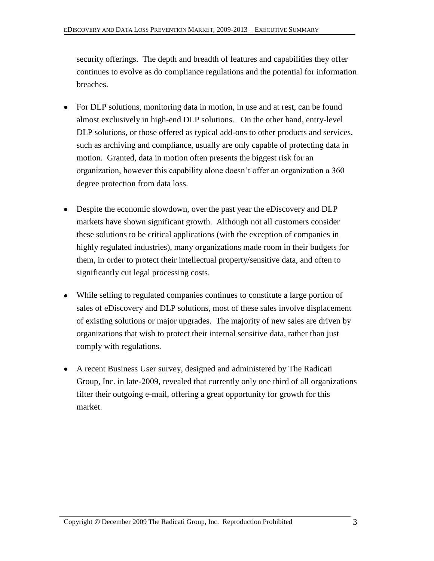security offerings. The depth and breadth of features and capabilities they offer continues to evolve as do compliance regulations and the potential for information breaches.

- For DLP solutions, monitoring data in motion, in use and at rest, can be found almost exclusively in high-end DLP solutions. On the other hand, entry-level DLP solutions, or those offered as typical add-ons to other products and services, such as archiving and compliance, usually are only capable of protecting data in motion. Granted, data in motion often presents the biggest risk for an organization, however this capability alone doesn't offer an organization a 360 degree protection from data loss.
- Despite the economic slowdown, over the past year the eDiscovery and DLP markets have shown significant growth. Although not all customers consider these solutions to be critical applications (with the exception of companies in highly regulated industries), many organizations made room in their budgets for them, in order to protect their intellectual property/sensitive data, and often to significantly cut legal processing costs.
- While selling to regulated companies continues to constitute a large portion of sales of eDiscovery and DLP solutions, most of these sales involve displacement of existing solutions or major upgrades. The majority of new sales are driven by organizations that wish to protect their internal sensitive data, rather than just comply with regulations.
- A recent Business User survey, designed and administered by The Radicati Group, Inc. in late-2009, revealed that currently only one third of all organizations filter their outgoing e-mail, offering a great opportunity for growth for this market.